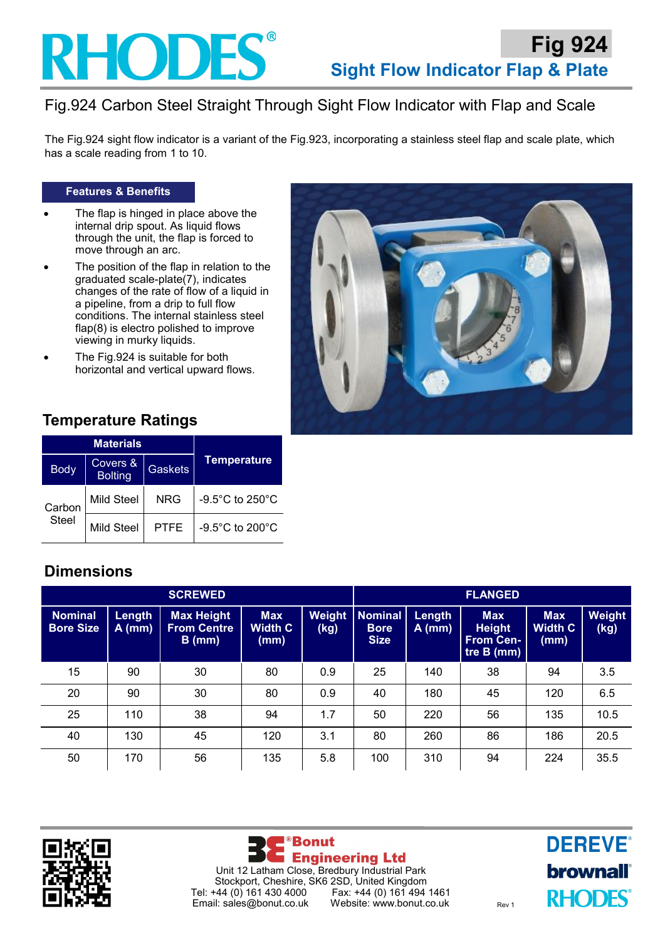

# Fig.924 Carbon Steel Straight Through Sight Flow Indicator with Flap and Scale

The Fig.924 sight flow indicator is a variant of the Fig.923, incorporating a stainless steel flap and scale plate, which has a scale reading from 1 to 10.

#### **Features & Benefits**

- The flap is hinged in place above the internal drip spout. As liquid flows through the unit, the flap is forced to move through an arc.
- The position of the flap in relation to the graduated scale-plate(7), indicates changes of the rate of flow of a liquid in a pipeline, from a drip to full flow conditions. The internal stainless steel flap(8) is electro polished to improve viewing in murky liquids.
- The Fig.924 is suitable for both horizontal and vertical upward flows.



## **Temperature Ratings**

|                        | <b>Materials</b>           |                |                    |  |
|------------------------|----------------------------|----------------|--------------------|--|
| <b>Body</b>            | Covers &<br><b>Bolting</b> | <b>Gaskets</b> | <b>Temperature</b> |  |
| Carbon<br><b>Steel</b> | Mild Steel                 | <b>NRG</b>     | -9.5°C to 250°C    |  |
|                        | Mild Steel                 | <b>PTFE</b>    | -9.5°C to 200°C    |  |

## **Dimensions**

| <b>SCREWED</b>                     |                    |                                                     |                                      |                | <b>FLANGED</b>                               |                    |                                                               |                                      |                       |
|------------------------------------|--------------------|-----------------------------------------------------|--------------------------------------|----------------|----------------------------------------------|--------------------|---------------------------------------------------------------|--------------------------------------|-----------------------|
| <b>Nominal</b><br><b>Bore Size</b> | Length<br>$A$ (mm) | <b>Max Height</b><br><b>From Centre</b><br>$B$ (mm) | <b>Max</b><br><b>Width C</b><br>(mm) | Weight<br>(kg) | <b>Nominal</b><br><b>Bore</b><br><b>Size</b> | Length<br>$A$ (mm) | <b>Max</b><br><b>Height</b><br><b>From Cen-</b><br>tre B (mm) | <b>Max</b><br><b>Width C</b><br>(mm) | <b>Weight</b><br>(kg) |
| 15                                 | 90                 | 30                                                  | 80                                   | 0.9            | 25                                           | 140                | 38                                                            | 94                                   | 3.5                   |
| 20                                 | 90                 | 30                                                  | 80                                   | 0.9            | 40                                           | 180                | 45                                                            | 120                                  | 6.5                   |
| 25                                 | 110                | 38                                                  | 94                                   | 1.7            | 50                                           | 220                | 56                                                            | 135                                  | 10.5                  |
| 40                                 | 130                | 45                                                  | 120                                  | 3.1            | 80                                           | 260                | 86                                                            | 186                                  | 20.5                  |
| 50                                 | 170                | 56                                                  | 135                                  | 5.8            | 100                                          | 310                | 94                                                            | 224                                  | 35.5                  |